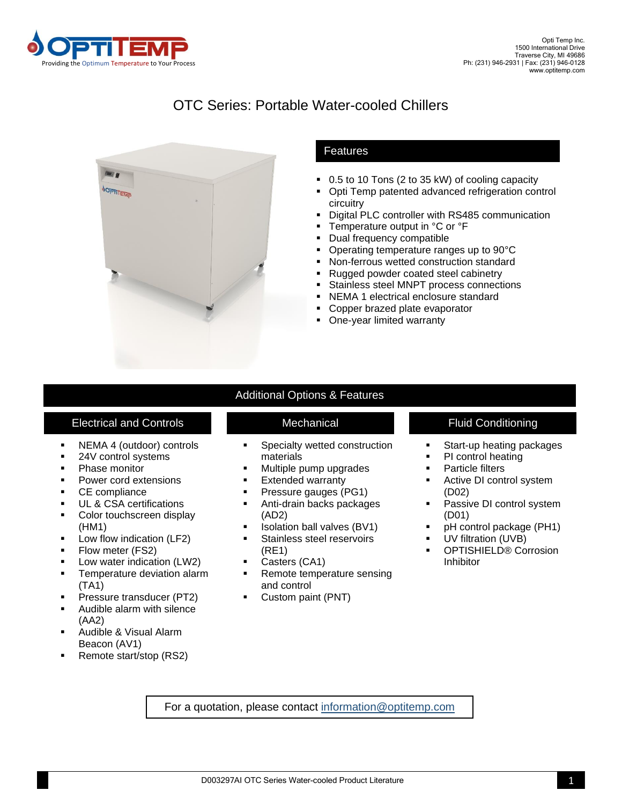

# OTC Series: Portable Water-cooled Chillers



## Features

- 0.5 to 10 Tons (2 to 35 kW) of cooling capacity
- Opti Temp patented advanced refrigeration control circuitry
- Digital PLC controller with RS485 communication
- Temperature output in °C or °F
- Dual frequency compatible
- Operating temperature ranges up to 90°C
- Non-ferrous wetted construction standard
- Rugged powder coated steel cabinetry
- Stainless steel MNPT process connections
- NEMA 1 electrical enclosure standard
- Copper brazed plate evaporator
- One-year limited warranty

Additional Options & Features

- NEMA 4 (outdoor) controls
- 24V control systems
- Phase monitor
- Power cord extensions
- CE compliance
- UL & CSA certifications
- Color touchscreen display (HM1)
- Low flow indication (LF2)
- **•** Flow meter (FS2)
- Low water indication (LW2)
- **EXEC** Temperature deviation alarm (TA1)
- **•** Pressure transducer (PT2)
- Audible alarm with silence (AA2)
- Audible & Visual Alarm Beacon (AV1)
- Remote start/stop (RS2)
- Specialty wetted construction materials
	- Multiple pump upgrades
	- **Extended warranty**
	- **•** Pressure gauges (PG1) ■ Anti-drain backs packages (AD2)
	- Isolation ball valves (BV1)
	- Stainless steel reservoirs (RE1)
	- Casters (CA1)
	- Remote temperature sensing and control
	- Custom paint (PNT)

### Electrical and Controls **Electrical Access 1.1 Conditioning** Mechanical **Fluid Conditioning**

- Start-up heating packages
- PI control heating
- Particle filters
- Active DI control system (D02)
- Passive DI control system (D01)
- pH control package (PH1)
- UV filtration (UVB)
- OPTISHIELD® Corrosion Inhibitor

For a quotation, please contact<information@optitemp.com>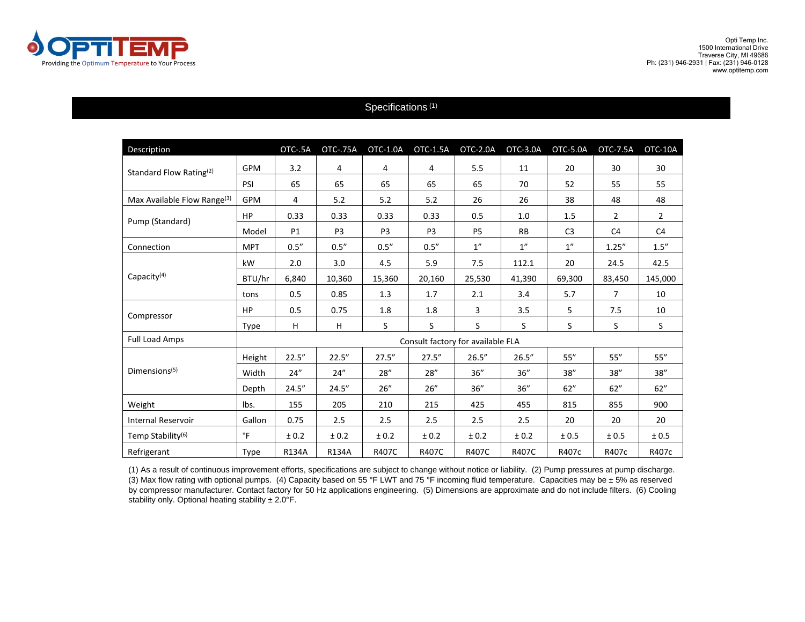

### Specifications<sup>(1)</sup>

| Description                             |                                   | OTC-.5A   | OTC-.75A       | OTC-1.0A       | OTC-1.5A       | OTC-2.0A       | OTC-3.0A  | OTC-5.0A       | OTC-7.5A       | OTC-10A        |
|-----------------------------------------|-----------------------------------|-----------|----------------|----------------|----------------|----------------|-----------|----------------|----------------|----------------|
| Standard Flow Rating <sup>(2)</sup>     | <b>GPM</b>                        | 3.2       | 4              | 4              | 4              | 5.5            | 11        | 20             | 30             | 30             |
|                                         | PSI                               | 65        | 65             | 65             | 65             | 65             | 70        | 52             | 55             | 55             |
| Max Available Flow Range <sup>(3)</sup> | <b>GPM</b>                        | 4         | 5.2            | 5.2            | 5.2            | 26             | 26        | 38             | 48             | 48             |
| Pump (Standard)                         | HP                                | 0.33      | 0.33           | 0.33           | 0.33           | 0.5            | 1.0       | 1.5            | $\overline{2}$ | $\overline{2}$ |
|                                         | Model                             | <b>P1</b> | P <sub>3</sub> | P <sub>3</sub> | P <sub>3</sub> | P <sub>5</sub> | <b>RB</b> | C <sub>3</sub> | C <sub>4</sub> | C <sub>4</sub> |
| Connection                              | <b>MPT</b>                        | 0.5''     | 0.5''          | 0.5''          | 0.5''          | 1''            | 1''       | 1''            | 1.25''         | 1.5''          |
| Capacity <sup>(4)</sup>                 | kW                                | 2.0       | 3.0            | 4.5            | 5.9            | 7.5            | 112.1     | 20             | 24.5           | 42.5           |
|                                         | BTU/hr                            | 6,840     | 10,360         | 15,360         | 20,160         | 25,530         | 41,390    | 69,300         | 83,450         | 145,000        |
|                                         | tons                              | 0.5       | 0.85           | 1.3            | 1.7            | 2.1            | 3.4       | 5.7            | 7              | 10             |
| Compressor                              | HP                                | 0.5       | 0.75           | 1.8            | 1.8            | 3              | 3.5       | 5              | 7.5            | 10             |
|                                         | Type                              | H         | H              | S              | S              | S              | S         | S              | S.             | S              |
| <b>Full Load Amps</b>                   | Consult factory for available FLA |           |                |                |                |                |           |                |                |                |
| $Dimensions^{(5)}$                      | Height                            | 22.5''    | 22.5''         | 27.5''         | 27.5''         | 26.5''         | 26.5''    | 55"            | 55''           | 55''           |
|                                         | Width                             | 24''      | 24''           | 28''           | 28''           | 36''           | 36''      | 38''           | 38''           | 38''           |
|                                         | Depth                             | 24.5''    | 24.5''         | 26''           | 26''           | 36''           | 36''      | 62"            | 62"            | 62"            |
| Weight                                  | lbs.                              | 155       | 205            | 210            | 215            | 425            | 455       | 815            | 855            | 900            |
| <b>Internal Reservoir</b>               | Gallon                            | 0.75      | 2.5            | 2.5            | 2.5            | 2.5            | 2.5       | 20             | 20             | 20             |
| Temp Stability <sup>(6)</sup>           | $\circ$ F                         | ± 0.2     | ± 0.2          | ± 0.2          | ± 0.2          | ± 0.2          | ± 0.2     | ± 0.5          | ± 0.5          | $\pm$ 0.5      |
| Refrigerant                             | Type                              | R134A     | R134A          | R407C          | R407C          | R407C          | R407C     | R407c          | R407c          | R407c          |

(1) As a result of continuous improvement efforts, specifications are subject to change without notice or liability. (2) Pump pressures at pump discharge. (3) Max flow rating with optional pumps. (4) Capacity based on 55 °F LWT and 75 °F incoming fluid temperature. Capacities may be ± 5% as reserved by compressor manufacturer. Contact factory for 50 Hz applications engineering. (5) Dimensions are approximate and do not include filters. (6) Cooling stability only. Optional heating stability  $\pm 2.0^{\circ}$ F.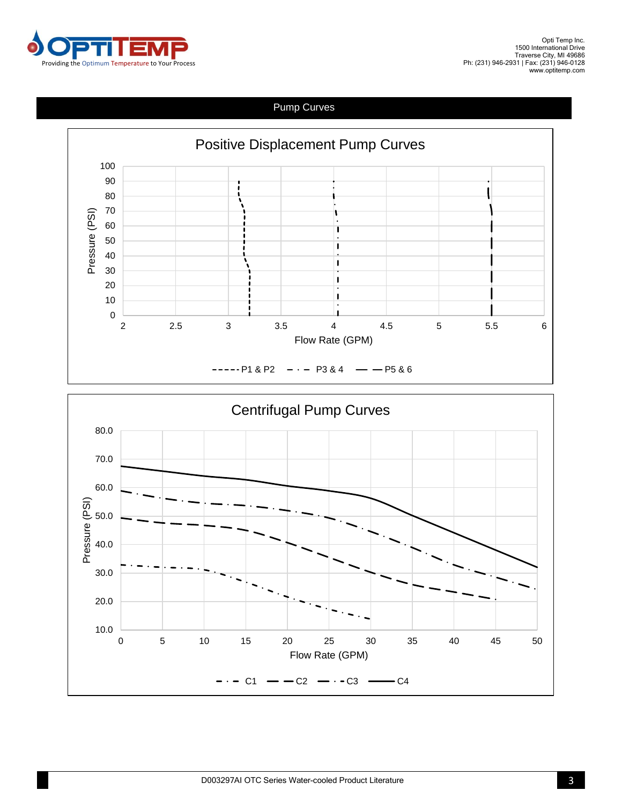

### Pump Curves